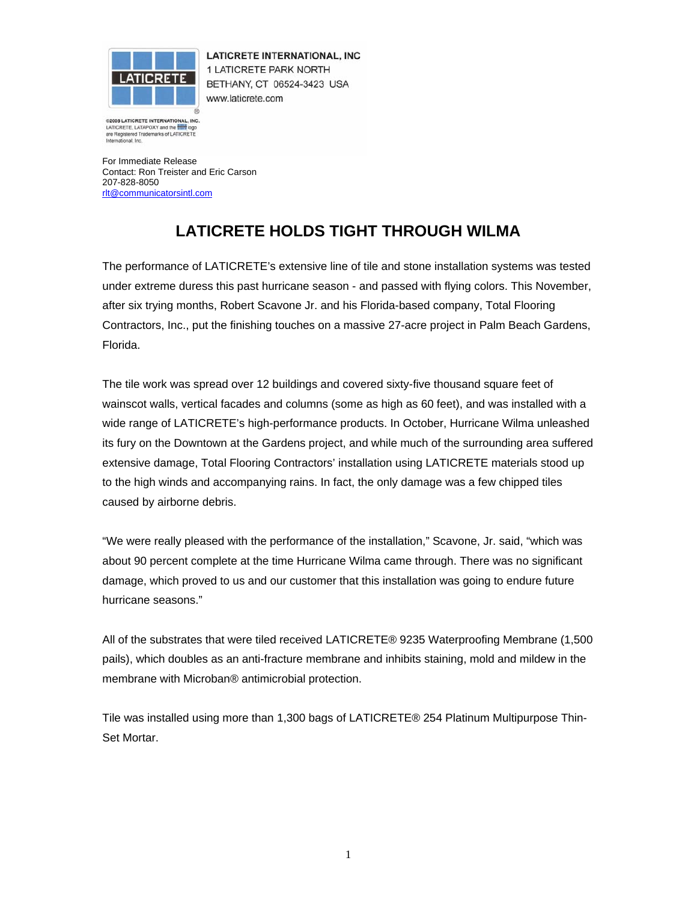

**LATICRETE INTERNATIONAL, INC** 1 LATICRETE PARK NORTH BETHANY, CT 06524-3423 USA www.laticrete.com

@2005 LATICRETE INTERNATIONAL . INC LATICRETE, LATAPOXY and the **fille** logo are Registered Trademarks of LATICRETE International, Inc.

For Immediate Release Contact: Ron Treister and Eric Carson 207-828-8050 rlt@communicatorsintl.com

## **LATICRETE HOLDS TIGHT THROUGH WILMA**

The performance of LATICRETE's extensive line of tile and stone installation systems was tested under extreme duress this past hurricane season - and passed with flying colors. This November, after six trying months, Robert Scavone Jr. and his Florida-based company, Total Flooring Contractors, Inc., put the finishing touches on a massive 27-acre project in Palm Beach Gardens, Florida.

The tile work was spread over 12 buildings and covered sixty-five thousand square feet of wainscot walls, vertical facades and columns (some as high as 60 feet), and was installed with a wide range of LATICRETE's high-performance products. In October, Hurricane Wilma unleashed its fury on the Downtown at the Gardens project, and while much of the surrounding area suffered extensive damage, Total Flooring Contractors' installation using LATICRETE materials stood up to the high winds and accompanying rains. In fact, the only damage was a few chipped tiles caused by airborne debris.

"We were really pleased with the performance of the installation," Scavone, Jr. said, "which was about 90 percent complete at the time Hurricane Wilma came through. There was no significant damage, which proved to us and our customer that this installation was going to endure future hurricane seasons."

All of the substrates that were tiled received LATICRETE® 9235 Waterproofing Membrane (1,500 pails), which doubles as an anti-fracture membrane and inhibits staining, mold and mildew in the membrane with Microban® antimicrobial protection.

Tile was installed using more than 1,300 bags of LATICRETE® 254 Platinum Multipurpose Thin-Set Mortar.